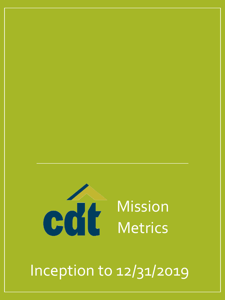

Inception to 12/31/2019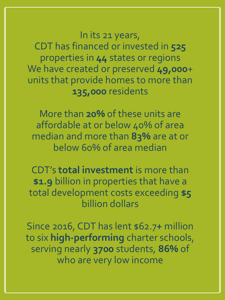In its 21 years, CDT has financed or invested in **525** properties in **44** states or regions We have created or preserved 49,000+ units that provide homes to more than **135,000** residents

More than **20%** of these units are affordable at or below 40% of area median and more than **83%** are at or below 60% of area median

CDT's **total investment** is more than **\$1.9** billion in properties that have a total development costs exceeding **\$5** billion dollars

Since 2016, CDT has lent \$62.7**+** million to six **high-performing** charter schools, serving nearly **3700** students, **86%** of who are very low income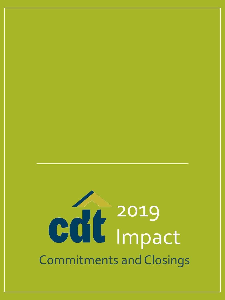# 2019 Impact Commitments and Closings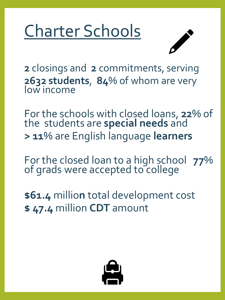## Charter Schools



**2** closings and **2** commitments, serving **2632 students**, **84**% of whom are very low income

For the schools with closed loans, **22**% of the students are **special needs** and **> 11**% are English language **learners** 

For the closed loan to a high school **77**% of grads were accepted to college

**\$61.4** millio**n** total development cost **\$ 47.4** million **CDT** amount

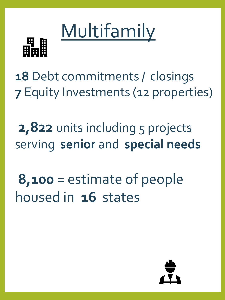

**18** Debt commitments / closings **7** Equity Investments (12 properties)

Multifamily

2,822 units including 5 projects serving **senior** and **special needs**

**8,100** = estimate of people housed in **16** states

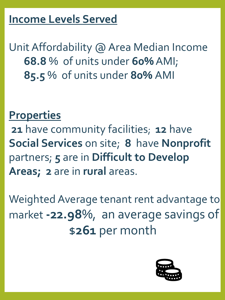#### **Income Levels Served**

Unit Affordability @ Area Median Income **68.8** % of units under **60%** AMI; **85.5** % of units under **80%** AMI

#### **Properties**

**21** have community facilities; **12** have **Social Services** on site; **8** have **Nonprofit** partners; **5** are in **Difficult to Develop Areas; 2** are in **rural** areas.

Weighted Average tenant rent advantage to market **-22.98**%, an average savings of \$**261** per month